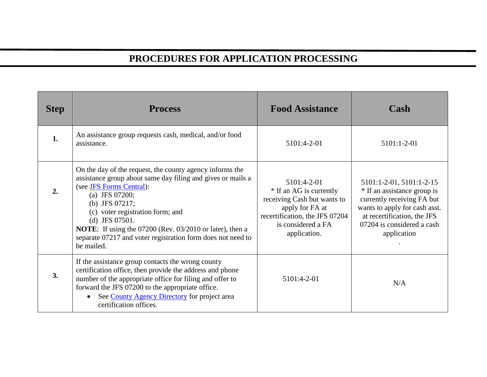## **PROCEDURES FOR APPLICATION PROCESSING**

| <b>Step</b> | <b>Process</b>                                                                                                                                                                                                                                                                                                                                                                                         | <b>Food Assistance</b>                                                                                                                                           | Cash                                                                                                                                                                                               |
|-------------|--------------------------------------------------------------------------------------------------------------------------------------------------------------------------------------------------------------------------------------------------------------------------------------------------------------------------------------------------------------------------------------------------------|------------------------------------------------------------------------------------------------------------------------------------------------------------------|----------------------------------------------------------------------------------------------------------------------------------------------------------------------------------------------------|
| 1.          | An assistance group requests cash, medical, and/or food<br>assistance.                                                                                                                                                                                                                                                                                                                                 | 5101:4-2-01                                                                                                                                                      | 5101:1-2-01                                                                                                                                                                                        |
| 2.          | On the day of the request, the county agency informs the<br>assistance group about same day filing and gives or mails a<br>(see JFS Forms Central):<br>(a) JFS $07200$ ;<br>(b) JFS $07217$ ;<br>(c) voter registration form; and<br>(d) JFS $07501$ .<br><b>NOTE:</b> If using the 07200 (Rev. 03/2010 or later), then a<br>separate 07217 and voter registration form does not need to<br>be mailed. | 5101:4-2-01<br>* If an AG is currently<br>receiving Cash but wants to<br>apply for FA at<br>recertification, the JFS 07204<br>is considered a FA<br>application. | 5101:1-2-01, 5101:1-2-15<br>* If an assistance group is<br>currently receiving FA but<br>wants to apply for cash asst.<br>at recertification, the JFS<br>07204 is considered a cash<br>application |
| 3.          | If the assistance group contacts the wrong county<br>certification office, then provide the address and phone<br>number of the appropriate office for filing and offer to<br>forward the JFS 07200 to the appropriate office.<br>See County Agency Directory for project area<br>$\bullet$<br>certification offices.                                                                                   | 5101:4-2-01                                                                                                                                                      | N/A                                                                                                                                                                                                |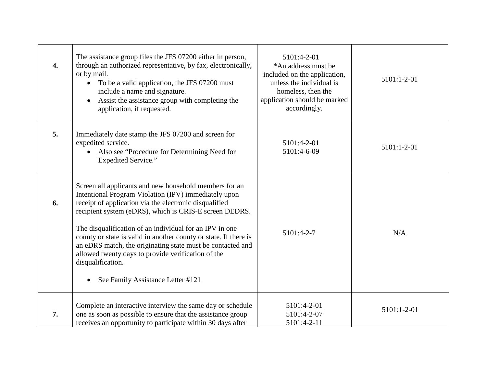| $\overline{4}$ . | The assistance group files the JFS 07200 either in person,<br>through an authorized representative, by fax, electronically,<br>or by mail.<br>To be a valid application, the JFS 07200 must<br>include a name and signature.<br>Assist the assistance group with completing the<br>application, if requested.                                                                                                                                                                                                                                   | 5101:4-2-01<br>*An address must be<br>included on the application,<br>unless the individual is<br>homeless, then the<br>application should be marked<br>accordingly. | 5101:1-2-01 |
|------------------|-------------------------------------------------------------------------------------------------------------------------------------------------------------------------------------------------------------------------------------------------------------------------------------------------------------------------------------------------------------------------------------------------------------------------------------------------------------------------------------------------------------------------------------------------|----------------------------------------------------------------------------------------------------------------------------------------------------------------------|-------------|
| 5.               | Immediately date stamp the JFS 07200 and screen for<br>expedited service.<br>Also see "Procedure for Determining Need for<br>$\bullet$<br><b>Expedited Service."</b>                                                                                                                                                                                                                                                                                                                                                                            | 5101:4-2-01<br>5101:4-6-09                                                                                                                                           | 5101:1-2-01 |
| 6.               | Screen all applicants and new household members for an<br>Intentional Program Violation (IPV) immediately upon<br>receipt of application via the electronic disqualified<br>recipient system (eDRS), which is CRIS-E screen DEDRS.<br>The disqualification of an individual for an IPV in one<br>county or state is valid in another county or state. If there is<br>an eDRS match, the originating state must be contacted and<br>allowed twenty days to provide verification of the<br>disqualification.<br>See Family Assistance Letter #121 | 5101:4-2-7                                                                                                                                                           | N/A         |
| 7.               | Complete an interactive interview the same day or schedule<br>one as soon as possible to ensure that the assistance group<br>receives an opportunity to participate within 30 days after                                                                                                                                                                                                                                                                                                                                                        | 5101:4-2-01<br>5101:4-2-07<br>5101:4-2-11                                                                                                                            | 5101:1-2-01 |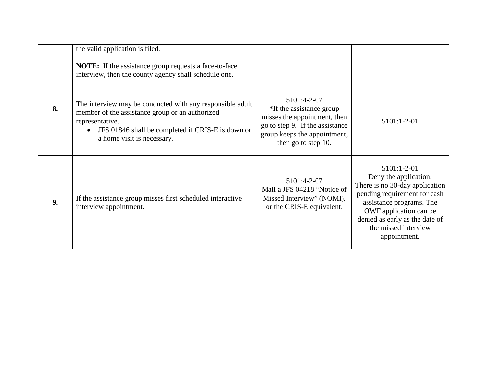|    | the valid application is filed.<br><b>NOTE:</b> If the assistance group requests a face-to-face<br>interview, then the county agency shall schedule one.                                                           |                                                                                                                                                                   |                                                                                                                                                                                                                                        |
|----|--------------------------------------------------------------------------------------------------------------------------------------------------------------------------------------------------------------------|-------------------------------------------------------------------------------------------------------------------------------------------------------------------|----------------------------------------------------------------------------------------------------------------------------------------------------------------------------------------------------------------------------------------|
| 8. | The interview may be conducted with any responsible adult<br>member of the assistance group or an authorized<br>representative.<br>JFS 01846 shall be completed if CRIS-E is down or<br>a home visit is necessary. | 5101:4-2-07<br>*If the assistance group<br>misses the appointment, then<br>go to step 9. If the assistance<br>group keeps the appointment,<br>then go to step 10. | $5101:1-2-01$                                                                                                                                                                                                                          |
| 9. | If the assistance group misses first scheduled interactive<br>interview appointment.                                                                                                                               | 5101:4-2-07<br>Mail a JFS 04218 "Notice of<br>Missed Interview" (NOMI),<br>or the CRIS-E equivalent.                                                              | 5101:1-2-01<br>Deny the application.<br>There is no 30-day application<br>pending requirement for cash<br>assistance programs. The<br>OWF application can be<br>denied as early as the date of<br>the missed interview<br>appointment. |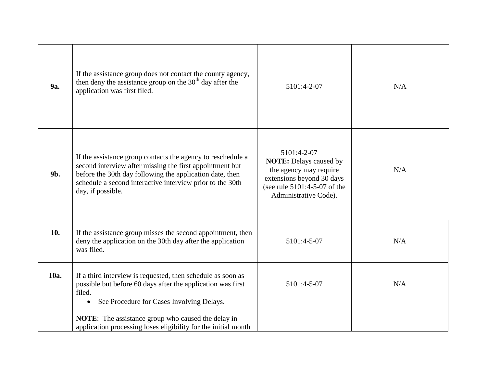| <b>9a.</b> | If the assistance group does not contact the county agency,<br>then deny the assistance group on the $30th$ day after the<br>application was first filed.                                                                                                                                                                     | 5101:4-2-07                                                                                                                                                  | N/A |
|------------|-------------------------------------------------------------------------------------------------------------------------------------------------------------------------------------------------------------------------------------------------------------------------------------------------------------------------------|--------------------------------------------------------------------------------------------------------------------------------------------------------------|-----|
| 9b.        | If the assistance group contacts the agency to reschedule a<br>second interview after missing the first appointment but<br>before the 30th day following the application date, then<br>schedule a second interactive interview prior to the 30th<br>day, if possible.                                                         | 5101:4-2-07<br><b>NOTE:</b> Delays caused by<br>the agency may require<br>extensions beyond 30 days<br>(see rule 5101:4-5-07 of the<br>Administrative Code). | N/A |
| 10.        | If the assistance group misses the second appointment, then<br>deny the application on the 30th day after the application<br>was filed.                                                                                                                                                                                       | 5101:4-5-07                                                                                                                                                  | N/A |
| 10a.       | If a third interview is requested, then schedule as soon as<br>possible but before 60 days after the application was first<br>filed.<br>See Procedure for Cases Involving Delays.<br>$\bullet$<br><b>NOTE:</b> The assistance group who caused the delay in<br>application processing loses eligibility for the initial month | 5101:4-5-07                                                                                                                                                  | N/A |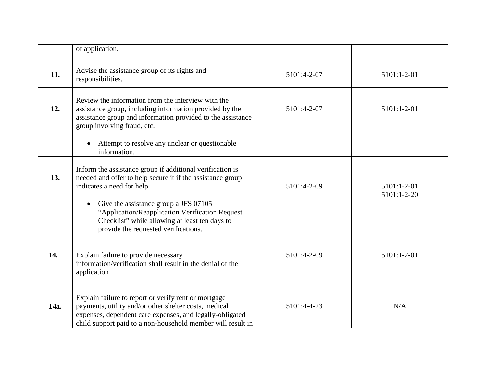|      | of application.                                                                                                                                                                                                                                                                                                                             |             |                                |
|------|---------------------------------------------------------------------------------------------------------------------------------------------------------------------------------------------------------------------------------------------------------------------------------------------------------------------------------------------|-------------|--------------------------------|
| 11.  | Advise the assistance group of its rights and<br>responsibilities.                                                                                                                                                                                                                                                                          | 5101:4-2-07 | 5101:1-2-01                    |
| 12.  | Review the information from the interview with the<br>assistance group, including information provided by the<br>assistance group and information provided to the assistance<br>group involving fraud, etc.<br>Attempt to resolve any unclear or questionable<br>$\bullet$<br>information.                                                  | 5101:4-2-07 | 5101:1-2-01                    |
| 13.  | Inform the assistance group if additional verification is<br>needed and offer to help secure it if the assistance group<br>indicates a need for help.<br>Give the assistance group a JFS 07105<br>"Application/Reapplication Verification Request<br>Checklist" while allowing at least ten days to<br>provide the requested verifications. | 5101:4-2-09 | $5101:1-2-01$<br>$5101:1-2-20$ |
| 14.  | Explain failure to provide necessary<br>information/verification shall result in the denial of the<br>application                                                                                                                                                                                                                           | 5101:4-2-09 | 5101:1-2-01                    |
| 14a. | Explain failure to report or verify rent or mortgage<br>payments, utility and/or other shelter costs, medical<br>expenses, dependent care expenses, and legally-obligated<br>child support paid to a non-household member will result in                                                                                                    | 5101:4-4-23 | N/A                            |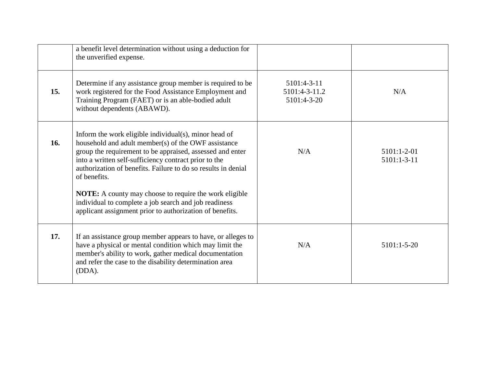|     | a benefit level determination without using a deduction for<br>the unverified expense.                                                                                                                                                                                                                                                                                                                                                                                                                    |                                             |                                |
|-----|-----------------------------------------------------------------------------------------------------------------------------------------------------------------------------------------------------------------------------------------------------------------------------------------------------------------------------------------------------------------------------------------------------------------------------------------------------------------------------------------------------------|---------------------------------------------|--------------------------------|
| 15. | Determine if any assistance group member is required to be<br>work registered for the Food Assistance Employment and<br>Training Program (FAET) or is an able-bodied adult<br>without dependents (ABAWD).                                                                                                                                                                                                                                                                                                 | 5101:4-3-11<br>5101:4-3-11.2<br>5101:4-3-20 | N/A                            |
| 16. | Inform the work eligible individual(s), minor head of<br>household and adult member(s) of the OWF assistance<br>group the requirement to be appraised, assessed and enter<br>into a written self-sufficiency contract prior to the<br>authorization of benefits. Failure to do so results in denial<br>of benefits.<br><b>NOTE:</b> A county may choose to require the work eligible<br>individual to complete a job search and job readiness<br>applicant assignment prior to authorization of benefits. | N/A                                         | $5101:1-2-01$<br>$5101:1-3-11$ |
| 17. | If an assistance group member appears to have, or alleges to<br>have a physical or mental condition which may limit the<br>member's ability to work, gather medical documentation<br>and refer the case to the disability determination area<br>(DDA).                                                                                                                                                                                                                                                    | N/A                                         | $5101:1-5-20$                  |